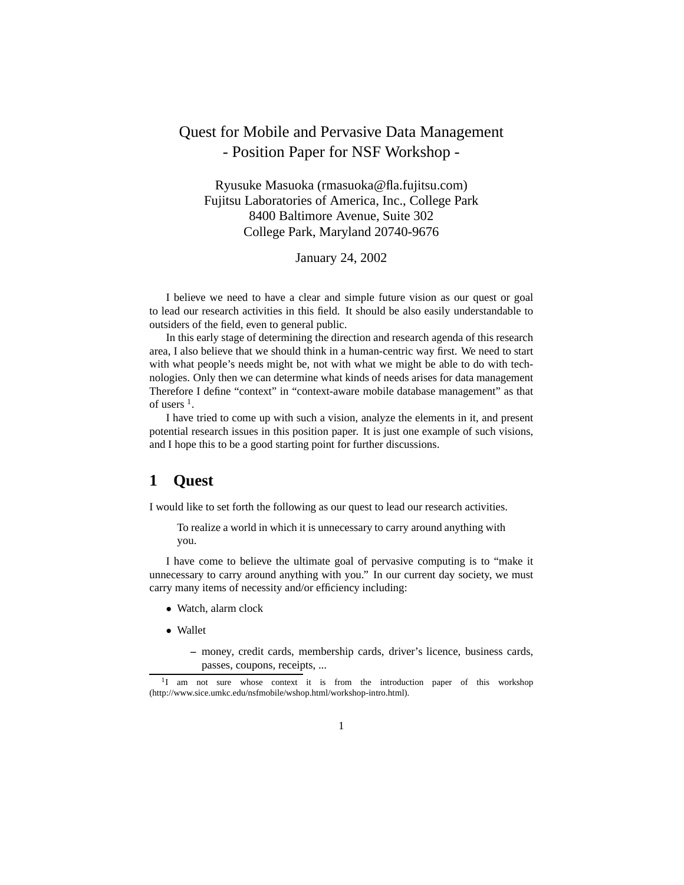## Quest for Mobile and Pervasive Data Management - Position Paper for NSF Workshop -

Ryusuke Masuoka (rmasuoka@fla.fujitsu.com) Fujitsu Laboratories of America, Inc., College Park 8400 Baltimore Avenue, Suite 302 College Park, Maryland 20740-9676

January 24, 2002

I believe we need to have a clear and simple future vision as our quest or goal to lead our research activities in this field. It should be also easily understandable to outsiders of the field, even to general public.

In this early stage of determining the direction and research agenda of this research area, I also believe that we should think in a human-centric way first. We need to start with what people's needs might be, not with what we might be able to do with technologies. Only then we can determine what kinds of needs arises for data management Therefore I define "context" in "context-aware mobile database management" as that of users  $<sup>1</sup>$ .</sup>

I have tried to come up with such a vision, analyze the elements in it, and present potential research issues in this position paper. It is just one example of such visions, and I hope this to be a good starting point for further discussions.

## **1 Quest**

I would like to set forth the following as our quest to lead our research activities.

To realize a world in which it is unnecessary to carry around anything with you.

I have come to believe the ultimate goal of pervasive computing is to "make it unnecessary to carry around anything with you." In our current day society, we must carry many items of necessity and/or efficiency including:

- *•* Watch, alarm clock
- *•* Wallet
	- **–** money, credit cards, membership cards, driver's licence, business cards, passes, coupons, receipts, ...

<sup>&</sup>lt;sup>1</sup>I am not sure whose context it is from the introduction paper of this workshop (http://www.sice.umkc.edu/nsfmobile/wshop.html/workshop-intro.html).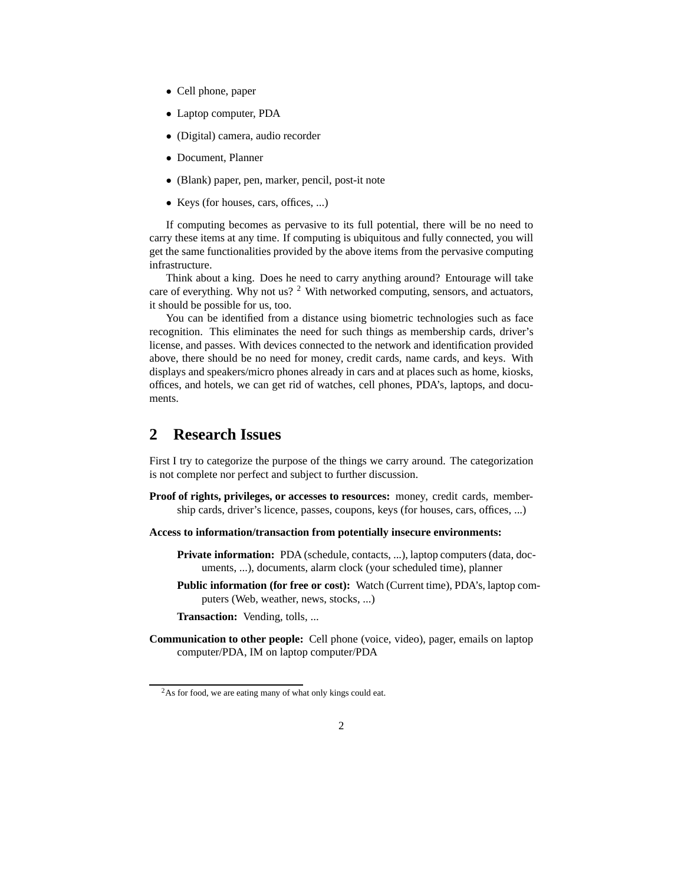- *•* Cell phone, paper
- *•* Laptop computer, PDA
- *•* (Digital) camera, audio recorder
- *•* Document, Planner
- *•* (Blank) paper, pen, marker, pencil, post-it note
- *•* Keys (for houses, cars, offices, ...)

If computing becomes as pervasive to its full potential, there will be no need to carry these items at any time. If computing is ubiquitous and fully connected, you will get the same functionalities provided by the above items from the pervasive computing infrastructure.

Think about a king. Does he need to carry anything around? Entourage will take care of everything. Why not us? <sup>2</sup> With networked computing, sensors, and actuators, it should be possible for us, too.

You can be identified from a distance using biometric technologies such as face recognition. This eliminates the need for such things as membership cards, driver's license, and passes. With devices connected to the network and identification provided above, there should be no need for money, credit cards, name cards, and keys. With displays and speakers/micro phones already in cars and at places such as home, kiosks, offices, and hotels, we can get rid of watches, cell phones, PDA's, laptops, and documents.

## **2 Research Issues**

First I try to categorize the purpose of the things we carry around. The categorization is not complete nor perfect and subject to further discussion.

**Proof of rights, privileges, or accesses to resources:** money, credit cards, membership cards, driver's licence, passes, coupons, keys (for houses, cars, offices, ...)

**Access to information/transaction from potentially insecure environments:**

- **Private information:** PDA (schedule, contacts, ...), laptop computers (data, documents, ...), documents, alarm clock (your scheduled time), planner
- **Public information (for free or cost):** Watch (Current time), PDA's, laptop computers (Web, weather, news, stocks, ...)

**Transaction:** Vending, tolls, ...

**Communication to other people:** Cell phone (voice, video), pager, emails on laptop computer/PDA, IM on laptop computer/PDA

<sup>&</sup>lt;sup>2</sup>As for food, we are eating many of what only kings could eat.